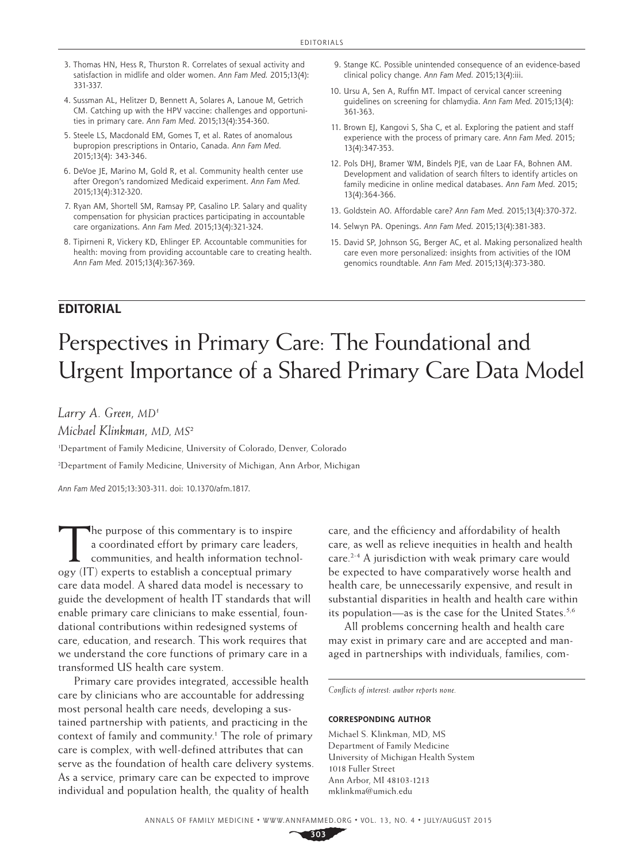- 3. Thomas HN, Hess R, Thurston R. Correlates of sexual activity and satisfaction in midlife and older women. *Ann Fam Med.* 2015;13(4): 331-337*.*
- 4. Sussman AL, Helitzer D, Bennett A, Solares A, Lanoue M, Getrich CM. Catching up with the HPV vaccine: challenges and opportunities in primary care. *Ann Fam Med.* 2015;13(4):354-360.
- 5. Steele LS, Macdonald EM, Gomes T, et al. Rates of anomalous bupropion prescriptions in Ontario, Canada. *Ann Fam Med.*  2015;13(4): 343-346.
- 6. DeVoe JE, Marino M, Gold R, et al. Community health center use after Oregon's randomized Medicaid experiment. *Ann Fam Med.*  2015;13(4):312-320.
- 7. Ryan AM, Shortell SM, Ramsay PP, Casalino LP. Salary and quality compensation for physician practices participating in accountable care organizations. *Ann Fam Med.* 2015;13(4):321-324.
- 8. Tipirneni R, Vickery KD, Ehlinger EP. Accountable communities for health: moving from providing accountable care to creating health. *Ann Fam Med.* 2015;13(4):367-369.
- 9. Stange KC. Possible unintended consequence of an evidence-based clinical policy change. *Ann Fam Med.* 2015;13(4):iii.
- 10. Ursu A, Sen A, Ruffin MT. Impact of cervical cancer screening guidelines on screening for chlamydia. *Ann Fam Med.* 2015;13(4): 361-363.
- 11. Brown EJ, Kangovi S, Sha C, et al. Exploring the patient and staff experience with the process of primary care. *Ann Fam Med.* 2015; 13(4):347-353.
- 12. Pols DHJ, Bramer WM, Bindels PJE, van de Laar FA, Bohnen AM. Development and validation of search filters to identify articles on family medicine in online medical databases. *Ann Fam Med*. 2015; 13(4):364-366.
- 13. Goldstein AO. Affordable care? *Ann Fam Med.* 2015;13(4):370-372.
- 14. Selwyn PA. Openings. *Ann Fam Med*. 2015;13(4):381-383.
- 15. David SP, Johnson SG, Berger AC, et al. Making personalized health care even more personalized: insights from activities of the IOM genomics roundtable. *Ann Fam Med.* 2015;13(4):373-380.

## **EDITORIAL**

# Perspectives in Primary Care: The Foundational and Urgent Importance of a Shared Primary Care Data Model

## *Larry A. Green, MD1*

*Michael Klinkman, MD, MS2*

1 Department of Family Medicine, University of Colorado, Denver, Colorado

2 Department of Family Medicine, University of Michigan, Ann Arbor, Michigan

*Ann Fam Med* 2015;13:303-311. doi: 10.1370/afm.1817.

The purpose of this commentary is to inspire a coordinated effort by primary care leaders, communities, and health information technology (IT) experts to establish a conceptual primary care data model. A shared data model is necessary to guide the development of health IT standards that will enable primary care clinicians to make essential, foundational contributions within redesigned systems of care, education, and research. This work requires that we understand the core functions of primary care in a transformed US health care system.

Primary care provides integrated, accessible health care by clinicians who are accountable for addressing most personal health care needs, developing a sustained partnership with patients, and practicing in the context of family and community.<sup>1</sup> The role of primary care is complex, with well-defined attributes that can serve as the foundation of health care delivery systems. As a service, primary care can be expected to improve individual and population health, the quality of health

care, and the efficiency and affordability of health care, as well as relieve inequities in health and health care.2-4 A jurisdiction with weak primary care would be expected to have comparatively worse health and health care, be unnecessarily expensive, and result in substantial disparities in health and health care within its population—as is the case for the United States.<sup>5,6</sup>

All problems concerning health and health care may exist in primary care and are accepted and managed in partnerships with individuals, families, com-

*Conflicts of interest: author reports none.*

#### **CORRESPONDING AUTHOR**

Michael S. Klinkman, MD, MS Department of Family Medicine University of Michigan Health System 1018 Fuller Street Ann Arbor, MI 48103-1213 [mklinkma@umich.edu](mailto:mklinkma@umich.edu)

**303**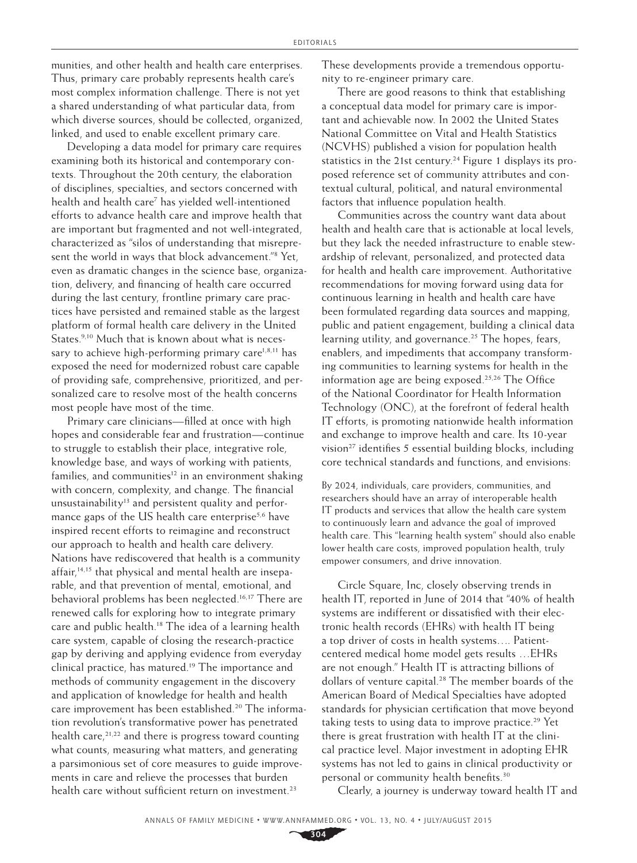munities, and other health and health care enterprises. Thus, primary care probably represents health care's most complex information challenge. There is not yet a shared understanding of what particular data, from which diverse sources, should be collected, organized, linked, and used to enable excellent primary care.

Developing a data model for primary care requires examining both its historical and contemporary contexts. Throughout the 20th century, the elaboration of disciplines, specialties, and sectors concerned with health and health care7 has yielded well-intentioned efforts to advance health care and improve health that are important but fragmented and not well-integrated, characterized as "silos of understanding that misrepresent the world in ways that block advancement."8 Yet, even as dramatic changes in the science base, organization, delivery, and financing of health care occurred during the last century, frontline primary care practices have persisted and remained stable as the largest platform of formal health care delivery in the United States.<sup>9,10</sup> Much that is known about what is necessary to achieve high-performing primary care<sup>1,8,11</sup> has exposed the need for modernized robust care capable of providing safe, comprehensive, prioritized, and personalized care to resolve most of the health concerns most people have most of the time.

Primary care clinicians—filled at once with high hopes and considerable fear and frustration—continue to struggle to establish their place, integrative role, knowledge base, and ways of working with patients, families, and communities<sup>12</sup> in an environment shaking with concern, complexity, and change. The financial unsustainability<sup>13</sup> and persistent quality and performance gaps of the US health care enterprise<sup>5,6</sup> have inspired recent efforts to reimagine and reconstruct our approach to health and health care delivery. Nations have rediscovered that health is a community affair,<sup>14,15</sup> that physical and mental health are inseparable, and that prevention of mental, emotional, and behavioral problems has been neglected.16,17 There are renewed calls for exploring how to integrate primary care and public health.<sup>18</sup> The idea of a learning health care system, capable of closing the research-practice gap by deriving and applying evidence from everyday clinical practice, has matured.19 The importance and methods of community engagement in the discovery and application of knowledge for health and health care improvement has been established.<sup>20</sup> The information revolution's transformative power has penetrated health care, $2^{1,22}$  and there is progress toward counting what counts, measuring what matters, and generating a parsimonious set of core measures to guide improvements in care and relieve the processes that burden health care without sufficient return on investment.<sup>23</sup>

These developments provide a tremendous opportunity to re-engineer primary care.

There are good reasons to think that establishing a conceptual data model for primary care is important and achievable now. In 2002 the United States National Committee on Vital and Health Statistics (NCVHS) published a vision for population health statistics in the 21st century.<sup>24</sup> Figure 1 displays its proposed reference set of community attributes and contextual cultural, political, and natural environmental factors that influence population health.

Communities across the country want data about health and health care that is actionable at local levels, but they lack the needed infrastructure to enable stewardship of relevant, personalized, and protected data for health and health care improvement. Authoritative recommendations for moving forward using data for continuous learning in health and health care have been formulated regarding data sources and mapping, public and patient engagement, building a clinical data learning utility, and governance.<sup>25</sup> The hopes, fears, enablers, and impediments that accompany transforming communities to learning systems for health in the information age are being exposed.<sup>25,26</sup> The Office of the National Coordinator for Health Information Technology (ONC), at the forefront of federal health IT efforts, is promoting nationwide health information and exchange to improve health and care. Its 10-year vision $^{27}$  identifies 5 essential building blocks, including core technical standards and functions, and envisions:

By 2024, individuals, care providers, communities, and researchers should have an array of interoperable health IT products and services that allow the health care system to continuously learn and advance the goal of improved health care. This "learning health system" should also enable lower health care costs, improved population health, truly empower consumers, and drive innovation.

Circle Square, Inc, closely observing trends in health IT, reported in June of 2014 that "40% of health systems are indifferent or dissatisfied with their electronic health records (EHRs) with health IT being a top driver of costs in health systems…. Patientcentered medical home model gets results …EHRs are not enough." Health IT is attracting billions of dollars of venture capital.<sup>28</sup> The member boards of the American Board of Medical Specialties have adopted standards for physician certification that move beyond taking tests to using data to improve practice.<sup>29</sup> Yet there is great frustration with health IT at the clinical practice level. Major investment in adopting EHR systems has not led to gains in clinical productivity or personal or community health benefits.30

Clearly, a journey is underway toward health IT and

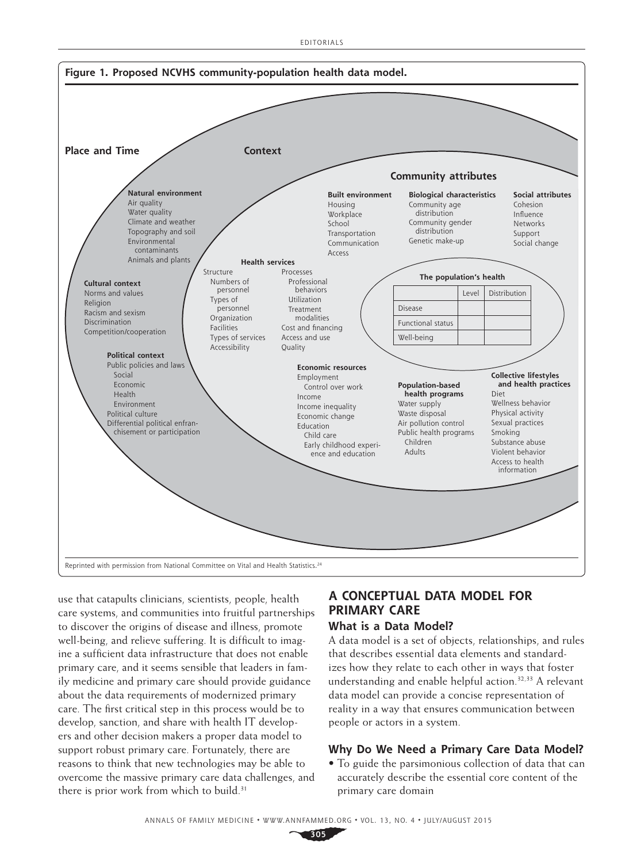

use that catapults clinicians, scientists, people, health care systems, and communities into fruitful partnerships to discover the origins of disease and illness, promote well-being, and relieve suffering. It is difficult to imagine a sufficient data infrastructure that does not enable primary care, and it seems sensible that leaders in family medicine and primary care should provide guidance about the data requirements of modernized primary care. The first critical step in this process would be to develop, sanction, and share with health IT developers and other decision makers a proper data model to support robust primary care. Fortunately, there are reasons to think that new technologies may be able to overcome the massive primary care data challenges, and there is prior work from which to build.<sup>31</sup>

## **A CONCEPTUAL DATA MODEL FOR PRIMARY CARE**

## **What is a Data Model?**

A data model is a set of objects, relationships, and rules that describes essential data elements and standardizes how they relate to each other in ways that foster understanding and enable helpful action.32,33 A relevant data model can provide a concise representation of reality in a way that ensures communication between people or actors in a system.

## **Why Do We Need a Primary Care Data Model?**

• To guide the parsimonious collection of data that can accurately describe the essential core content of the primary care domain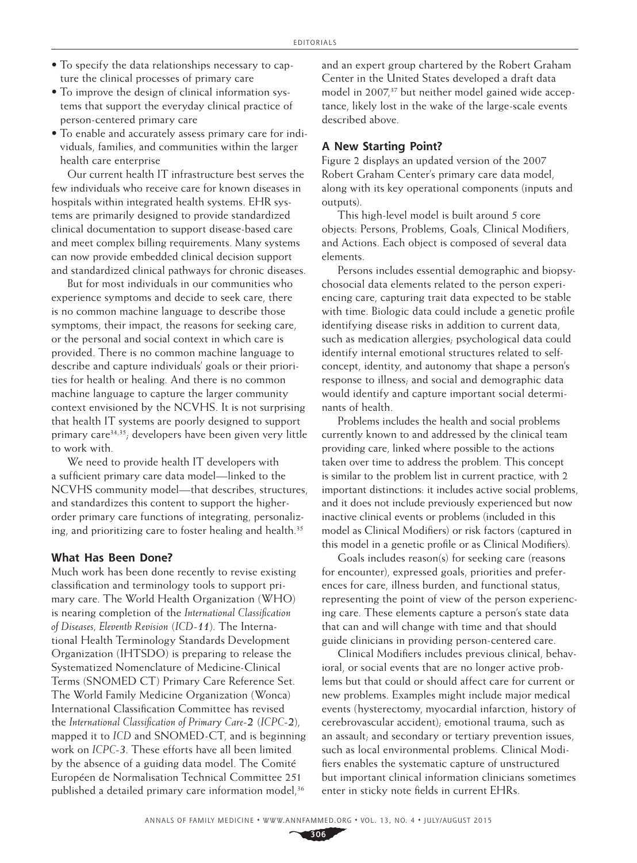- To specify the data relationships necessary to capture the clinical processes of primary care
- To improve the design of clinical information systems that support the everyday clinical practice of person-centered primary care
- To enable and accurately assess primary care for individuals, families, and communities within the larger health care enterprise

Our current health IT infrastructure best serves the few individuals who receive care for known diseases in hospitals within integrated health systems. EHR systems are primarily designed to provide standardized clinical documentation to support disease-based care and meet complex billing requirements. Many systems can now provide embedded clinical decision support and standardized clinical pathways for chronic diseases.

But for most individuals in our communities who experience symptoms and decide to seek care, there is no common machine language to describe those symptoms, their impact, the reasons for seeking care, or the personal and social context in which care is provided. There is no common machine language to describe and capture individuals' goals or their priorities for health or healing. And there is no common machine language to capture the larger community context envisioned by the NCVHS. It is not surprising that health IT systems are poorly designed to support primary care $34,35$ ; developers have been given very little to work with.

We need to provide health IT developers with a sufficient primary care data model—linked to the NCVHS community model—that describes, structures, and standardizes this content to support the higherorder primary care functions of integrating, personalizing, and prioritizing care to foster healing and health.<sup>35</sup>

#### **What Has Been Done?**

Much work has been done recently to revise existing classification and terminology tools to support primary care. The World Health Organization (WHO) is nearing completion of the *International Classification of Diseases, Eleventh Revision* (*ICD-11*). The International Health Terminology Standards Development Organization (IHTSDO) is preparing to release the Systematized Nomenclature of Medicine-Clinical Terms (SNOMED CT) Primary Care Reference Set. The World Family Medicine Organization (Wonca) International Classification Committee has revised the *International Classification of Primary Care-2* (*ICPC-2*), mapped it to *ICD* and SNOMED-CT, and is beginning work on *ICPC-3*. These efforts have all been limited by the absence of a guiding data model. The Comité Européen de Normalisation Technical Committee 251 published a detailed primary care information model,<sup>36</sup>

and an expert group chartered by the Robert Graham Center in the United States developed a draft data model in 2007,<sup>37</sup> but neither model gained wide acceptance, likely lost in the wake of the large-scale events described above.

#### **A New Starting Point?**

Figure 2 displays an updated version of the 2007 Robert Graham Center's primary care data model, along with its key operational components (inputs and outputs).

This high-level model is built around 5 core objects: Persons, Problems, Goals, Clinical Modifiers, and Actions. Each object is composed of several data elements.

Persons includes essential demographic and biopsychosocial data elements related to the person experiencing care, capturing trait data expected to be stable with time. Biologic data could include a genetic profile identifying disease risks in addition to current data, such as medication allergies; psychological data could identify internal emotional structures related to selfconcept, identity, and autonomy that shape a person's response to illness; and social and demographic data would identify and capture important social determinants of health.

Problems includes the health and social problems currently known to and addressed by the clinical team providing care, linked where possible to the actions taken over time to address the problem. This concept is similar to the problem list in current practice, with 2 important distinctions: it includes active social problems, and it does not include previously experienced but now inactive clinical events or problems (included in this model as Clinical Modifiers) or risk factors (captured in this model in a genetic profile or as Clinical Modifiers).

Goals includes reason(s) for seeking care (reasons for encounter), expressed goals, priorities and preferences for care, illness burden, and functional status, representing the point of view of the person experiencing care. These elements capture a person's state data that can and will change with time and that should guide clinicians in providing person-centered care.

Clinical Modifiers includes previous clinical, behavioral, or social events that are no longer active problems but that could or should affect care for current or new problems. Examples might include major medical events (hysterectomy, myocardial infarction, history of cerebrovascular accident); emotional trauma, such as an assault; and secondary or tertiary prevention issues, such as local environmental problems. Clinical Modifiers enables the systematic capture of unstructured but important clinical information clinicians sometimes enter in sticky note fields in current EHRs.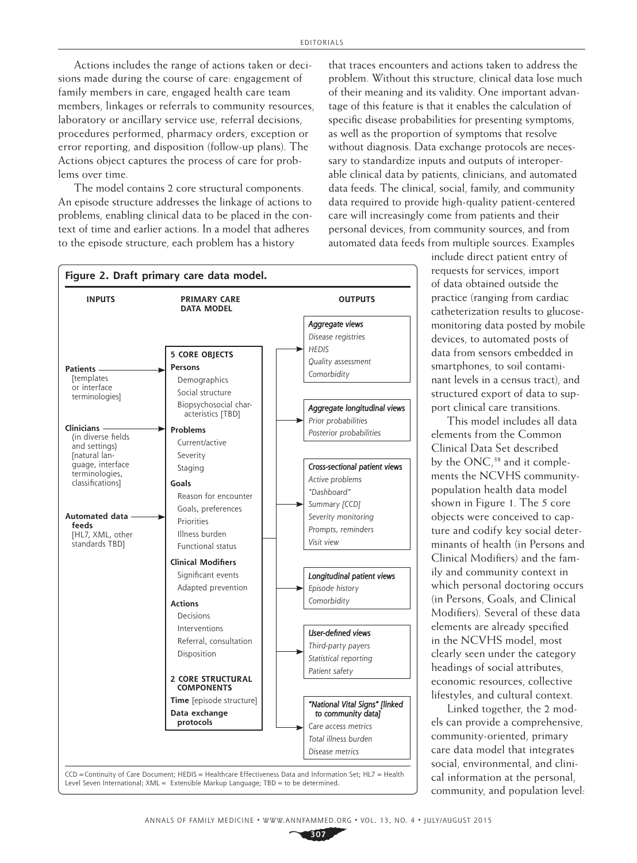Actions includes the range of actions taken or decisions made during the course of care: engagement of family members in care, engaged health care team members, linkages or referrals to community resources, laboratory or ancillary service use, referral decisions, procedures performed, pharmacy orders, exception or error reporting, and disposition (follow-up plans). The Actions object captures the process of care for problems over time.

The model contains 2 core structural components. An episode structure addresses the linkage of actions to problems, enabling clinical data to be placed in the context of time and earlier actions. In a model that adheres to the episode structure, each problem has a history



that traces encounters and actions taken to address the problem. Without this structure, clinical data lose much of their meaning and its validity. One important advantage of this feature is that it enables the calculation of specific disease probabilities for presenting symptoms, as well as the proportion of symptoms that resolve without diagnosis. Data exchange protocols are necessary to standardize inputs and outputs of interoperable clinical data by patients, clinicians, and automated data feeds. The clinical, social, family, and community data required to provide high-quality patient-centered care will increasingly come from patients and their personal devices, from community sources, and from automated data feeds from multiple sources. Examples

> include direct patient entry of requests for services, import of data obtained outside the practice (ranging from cardiac catheterization results to glucosemonitoring data posted by mobile devices, to automated posts of data from sensors embedded in smartphones, to soil contaminant levels in a census tract), and structured export of data to support clinical care transitions.

> This model includes all data elements from the Common Clinical Data Set described by the  $\text{ONC}$ ,<sup>38</sup> and it complements the NCVHS communitypopulation health data model shown in Figure 1. The 5 core objects were conceived to capture and codify key social determinants of health (in Persons and Clinical Modifiers) and the family and community context in which personal doctoring occurs (in Persons, Goals, and Clinical Modifiers). Several of these data elements are already specified in the NCVHS model, most clearly seen under the category headings of social attributes, economic resources, collective lifestyles, and cultural context.

> Linked together, the 2 models can provide a comprehensive, community-oriented, primary care data model that integrates social, environmental, and clinical information at the personal, community, and population level:

**307**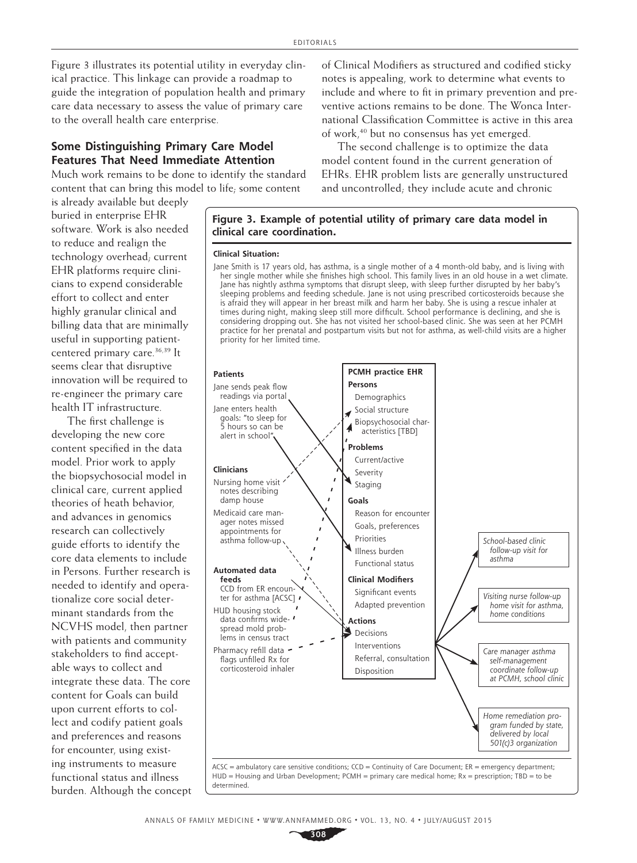Figure 3 illustrates its potential utility in everyday clinical practice. This linkage can provide a roadmap to guide the integration of population health and primary care data necessary to assess the value of primary care to the overall health care enterprise.

## **Some Distinguishing Primary Care Model Features That Need Immediate Attention**

Much work remains to be done to identify the standard content that can bring this model to life; some content

of Clinical Modifiers as structured and codified sticky notes is appealing, work to determine what events to include and where to fit in primary prevention and preventive actions remains to be done. The Wonca International Classification Committee is active in this area of work,<sup>40</sup> but no consensus has yet emerged.

The second challenge is to optimize the data model content found in the current generation of EHRs. EHR problem lists are generally unstructured and uncontrolled; they include acute and chronic

is already available but deeply buried in enterprise EHR software. Work is also needed to reduce and realign the technology overhead; current EHR platforms require clinicians to expend considerable effort to collect and enter highly granular clinical and billing data that are minimally useful in supporting patientcentered primary care.36,39 It seems clear that disruptive innovation will be required to re-engineer the primary care health IT infrastructure.

The first challenge is developing the new core content specified in the data model. Prior work to apply the biopsychosocial model in clinical care, current applied theories of heath behavior, and advances in genomics research can collectively guide efforts to identify the core data elements to include in Persons. Further research is needed to identify and operationalize core social determinant standards from the NCVHS model, then partner with patients and community stakeholders to find acceptable ways to collect and integrate these data. The core content for Goals can build upon current efforts to collect and codify patient goals and preferences and reasons for encounter, using existing instruments to measure functional status and illness burden. Although the concept

### **Figure 3. Example of potential utility of primary care data model in clinical care coordination.**

#### **Clinical Situation:**

Jane Smith is 17 years old, has asthma, is a single mother of a 4 month-old baby, and is living with her single mother while she finishes high school. This family lives in an old house in a wet climate. Jane has nightly asthma symptoms that disrupt sleep, with sleep further disrupted by her baby's sleeping problems and feeding schedule. Jane is not using prescribed corticosteroids because she is afraid they will appear in her breast milk and harm her baby. She is using a rescue inhaler at times during night, making sleep still more difficult. School performance is declining, and she is considering dropping out. She has not visited her school-based clinic. She was seen at her PCMH practice for her prenatal and postpartum visits but not for asthma, as well-child visits are a higher priority for her limited time.

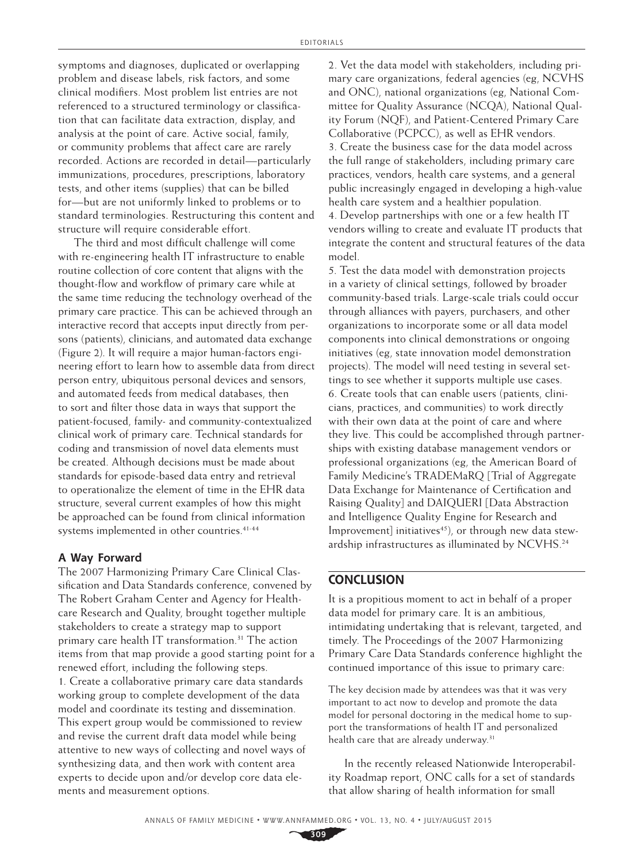symptoms and diagnoses, duplicated or overlapping problem and disease labels, risk factors, and some clinical modifiers. Most problem list entries are not referenced to a structured terminology or classification that can facilitate data extraction, display, and analysis at the point of care. Active social, family, or community problems that affect care are rarely recorded. Actions are recorded in detail—particularly immunizations, procedures, prescriptions, laboratory tests, and other items (supplies) that can be billed for—but are not uniformly linked to problems or to standard terminologies. Restructuring this content and structure will require considerable effort.

The third and most difficult challenge will come with re-engineering health IT infrastructure to enable routine collection of core content that aligns with the thought-flow and workflow of primary care while at the same time reducing the technology overhead of the primary care practice. This can be achieved through an interactive record that accepts input directly from persons (patients), clinicians, and automated data exchange (Figure 2). It will require a major human-factors engineering effort to learn how to assemble data from direct person entry, ubiquitous personal devices and sensors, and automated feeds from medical databases, then to sort and filter those data in ways that support the patient-focused, family- and community-contextualized clinical work of primary care. Technical standards for coding and transmission of novel data elements must be created. Although decisions must be made about standards for episode-based data entry and retrieval to operationalize the element of time in the EHR data structure, several current examples of how this might be approached can be found from clinical information systems implemented in other countries.<sup>41-44</sup>

#### **A Way Forward**

The 2007 Harmonizing Primary Care Clinical Classification and Data Standards conference, convened by The Robert Graham Center and Agency for Healthcare Research and Quality, brought together multiple stakeholders to create a strategy map to support primary care health IT transformation.<sup>31</sup> The action items from that map provide a good starting point for a renewed effort, including the following steps. 1. Create a collaborative primary care data standards working group to complete development of the data model and coordinate its testing and dissemination. This expert group would be commissioned to review and revise the current draft data model while being attentive to new ways of collecting and novel ways of synthesizing data, and then work with content area experts to decide upon and/or develop core data elements and measurement options.

2. Vet the data model with stakeholders, including primary care organizations, federal agencies (eg, NCVHS and ONC), national organizations (eg, National Committee for Quality Assurance (NCQA), National Quality Forum (NQF), and Patient-Centered Primary Care Collaborative (PCPCC), as well as EHR vendors. 3. Create the business case for the data model across the full range of stakeholders, including primary care practices, vendors, health care systems, and a general public increasingly engaged in developing a high-value health care system and a healthier population. 4. Develop partnerships with one or a few health IT vendors willing to create and evaluate IT products that integrate the content and structural features of the data model.

5. Test the data model with demonstration projects in a variety of clinical settings, followed by broader community-based trials. Large-scale trials could occur through alliances with payers, purchasers, and other organizations to incorporate some or all data model components into clinical demonstrations or ongoing initiatives (eg, state innovation model demonstration projects). The model will need testing in several settings to see whether it supports multiple use cases. 6. Create tools that can enable users (patients, clinicians, practices, and communities) to work directly with their own data at the point of care and where they live. This could be accomplished through partnerships with existing database management vendors or professional organizations (eg, the American Board of Family Medicine's TRADEMaRQ [Trial of Aggregate Data Exchange for Maintenance of Certification and Raising Quality] and DAIQUERI [Data Abstraction and Intelligence Quality Engine for Research and Improvement] initiatives $45$ ), or through new data stewardship infrastructures as illuminated by NCVHS.<sup>24</sup>

## **CONCLUSION**

It is a propitious moment to act in behalf of a proper data model for primary care. It is an ambitious, intimidating undertaking that is relevant, targeted, and timely. The Proceedings of the 2007 Harmonizing Primary Care Data Standards conference highlight the continued importance of this issue to primary care:

The key decision made by attendees was that it was very important to act now to develop and promote the data model for personal doctoring in the medical home to support the transformations of health IT and personalized health care that are already underway.<sup>31</sup>

In the recently released Nationwide Interoperability Roadmap report, ONC calls for a set of standards that allow sharing of health information for small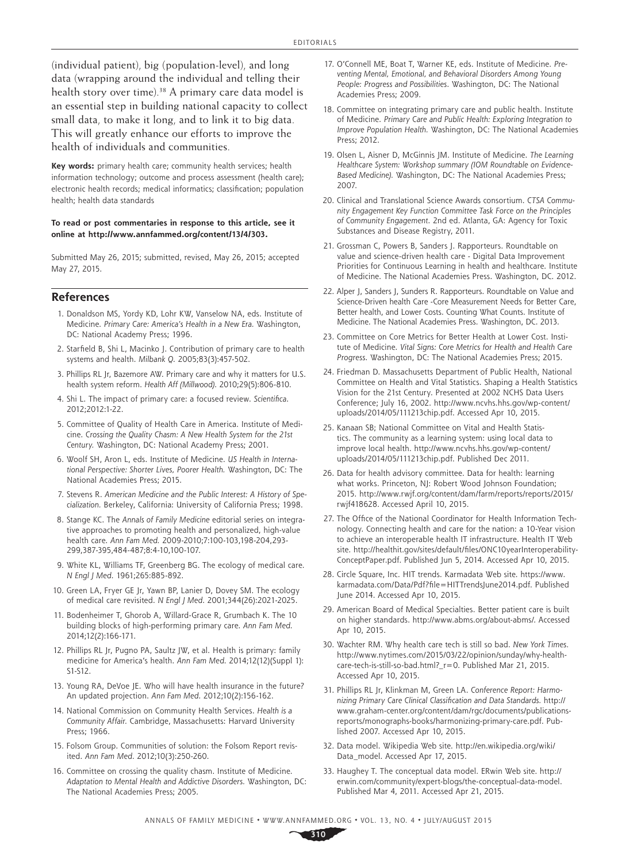(individual patient), big (population-level), and long data (wrapping around the individual and telling their health story over time).<sup>38</sup> A primary care data model is an essential step in building national capacity to collect small data, to make it long, and to link it to big data. This will greatly enhance our efforts to improve the health of individuals and communities.

**Key words:** primary health care; community health services; health information technology; outcome and process assessment (health care); electronic health records; medical informatics; classification; population health; health data standards

#### **To read or post commentaries in response to this article, see it online at <http://www.annfammed.org/content/13/4/303>.**

Submitted May 26, 2015; submitted, revised, May 26, 2015; accepted May 27, 2015.

#### **References**

- 1. Donaldson MS, Yordy KD, Lohr KW, Vanselow NA, eds. Institute of Medicine. *Primary Care: America's Health in a New Era.* Washington, DC: National Academy Press; 1996.
- 2. Starfield B, Shi L, Macinko J. Contribution of primary care to health systems and health. *Milbank Q*. 2005;83(3):457-502.
- 3. Phillips RL Jr, Bazemore AW. Primary care and why it matters for U.S. health system reform. *Health Aff (Millwood)*. 2010;29(5):806-810.
- 4. Shi L. The impact of primary care: a focused review. *Scientifica*. 2012;2012:1-22.
- 5. Committee of Quality of Health Care in America. Institute of Medicine. *Crossing the Quality Chasm: A New Health System for the 21st Century.* Washington, DC: National Academy Press; 2001.
- 6. Woolf SH, Aron L, eds. Institute of Medicine. *US Health in International Perspective: Shorter Lives, Poorer Health.* Washington, DC: The National Academies Press; 2015.
- 7. Stevens R. *American Medicine and the Public Interest: A History of Specialization.* Berkeley, California: University of California Press; 1998.
- 8. Stange KC. The *Annals of Family Medicine* editorial series on integrative approaches to promoting health and personalized, high-value health care. *Ann Fam Med.* 2009-2010;7:100-103,198-204,293- 299,387-395,484-487;8:4-10,100-107.
- 9. White KL, Williams TF, Greenberg BG. The ecology of medical care. *N Engl J Med*. 1961;265:885-892.
- 10. Green LA, Fryer GE Jr, Yawn BP, Lanier D, Dovey SM. The ecology of medical care revisited. *N Engl J Med*. 2001;344(26):2021-2025.
- 11. Bodenheimer T, Ghorob A, Willard-Grace R, Grumbach K. The 10 building blocks of high-performing primary care. *Ann Fam Med*. 2014;12(2):166-171.
- 12. Phillips RL Jr, Pugno PA, Saultz JW, et al. Health is primary: family medicine for America's health. *Ann Fam Med*. 2014;12(12)(Suppl 1): S1-S12.
- 13. Young RA, DeVoe JE. Who will have health insurance in the future? An updated projection. *Ann Fam Med*. 2012;10(2):156-162.
- 14. National Commission on Community Health Services. *Health is a Community Affair.* Cambridge, Massachusetts: Harvard University Press; 1966.
- 15. Folsom Group. Communities of solution: the Folsom Report revisited. *Ann Fam Med*. 2012;10(3):250-260.
- 16. Committee on crossing the quality chasm. Institute of Medicine. *Adaptation to Mental Health and Addictive Disorders.* Washington, DC: The National Academies Press; 2005.
- 17. O'Connell ME, Boat T, Warner KE, eds. Institute of Medicine. *Preventing Mental, Emotional, and Behavioral Disorders Among Young People: Progress and Possibilities*. Washington, DC: The National Academies Press; 2009.
- 18. Committee on integrating primary care and public health. Institute of Medicine. *Primary Care and Public Health: Exploring Integration to Improve Population Health.* Washington, DC: The National Academies Press; 2012.
- 19. Olsen L, Aisner D, McGinnis JM. Institute of Medicine. *The Learning Healthcare System: Workshop summary (IOM Roundtable on Evidence-Based Medicine).* Washington, DC: The National Academies Press; 2007.
- 20. Clinical and Translational Science Awards consortium. *CTSA Community Engagement Key Function Committee Task Force on the Principles of Community Engagement*. 2nd ed. Atlanta, GA: Agency for Toxic Substances and Disease Registry, 2011.
- 21. Grossman C, Powers B, Sanders J. Rapporteurs. Roundtable on value and science-driven health care - Digital Data Improvement Priorities for Continuous Learning in health and healthcare. Institute of Medicine. The National Academies Press. Washington, DC. 2012.
- 22. Alper J, Sanders J, Sunders R. Rapporteurs. Roundtable on Value and Science-Driven health Care -Core Measurement Needs for Better Care, Better health, and Lower Costs. Counting What Counts. Institute of Medicine. The National Academies Press. Washington, DC. 2013.
- 23. Committee on Core Metrics for Better Health at Lower Cost. Institute of Medicine. *Vital Signs: Core Metrics for Health and Health Care Progress*. Washington, DC: The National Academies Press; 2015.
- 24. Friedman D. Massachusetts Department of Public Health, National Committee on Health and Vital Statistics. Shaping a Health Statistics Vision for the 21st Century. Presented at 2002 NCHS Data Users Conference; July 16, 2002. [http://www.ncvhs.hhs.gov/wp-content/](http://www.ncvhs.hhs.gov/wp-content/uploads/2014/05/111213chip.pdf) [uploads/2014/05/111213chip.pdf.](http://www.ncvhs.hhs.gov/wp-content/uploads/2014/05/111213chip.pdf) Accessed Apr 10, 2015.
- 25. Kanaan SB; National Committee on Vital and Health Statistics. The community as a learning system: using local data to improve local health. http:/[/www.ncvhs.hhs.gov/wp-content/](http://www.ncvhs.hhs.gov/wp-content/uploads/2014/05/111213chip.pdf) [uploads/2014/05/111213chip.pdf.](http://www.ncvhs.hhs.gov/wp-content/uploads/2014/05/111213chip.pdf) Published Dec 2011.
- 26. Data for health advisory committee. Data for health: learning what works. Princeton, NJ: Robert Wood Johnson Foundation; 2015. [http://www.rwjf.org/content/dam/farm/reports/reports/2015/](http://www.rwjf.org/content/dam/farm/reports/reports/2015/rwjf418628) [rwjf418628.](http://www.rwjf.org/content/dam/farm/reports/reports/2015/rwjf418628) Accessed April 10, 2015.
- 27. The Office of the National Coordinator for Health Information Technology. Connecting health and care for the nation: a 10-Year vision to achieve an interoperable health IT infrastructure. Health IT Web site. [http://healthit.gov/sites/default/files/ONC10yearInteroperability-](http://healthit.gov/sites/default/files/ONC10yearInteroperabilityConceptPaper.pdf)[ConceptPaper.pdf.](http://healthit.gov/sites/default/files/ONC10yearInteroperabilityConceptPaper.pdf) Published Jun 5, 2014. Accessed Apr 10, 2015.
- 28. Circle Square, Inc. HIT trends. Karmadata Web site. [https://www.](https://www.karmadata.com/Data/Pdf?file=HITTrendsJune2014.pdf) [karmadata.com/Data/Pdf?file=HITTrendsJune2014.pdf.](https://www.karmadata.com/Data/Pdf?file=HITTrendsJune2014.pdf) Published June 2014. Accessed Apr 10, 2015.
- 29. American Board of Medical Specialties. Better patient care is built on higher standards. [http://www.abms.org/about](http://www.abms.org/about-abms/)-abms/. Accessed Apr 10, 2015.
- 30. Wachter RM. Why health care tech is still so bad. *New York Times.* [http://www.nytimes.com/2015/03/22/opinion/sunday/why-health](http://www.nytimes.com/2015/03/22/opinion/sunday/why-health-care-tech-is-still-so-bad.html?_r=0)[care-tech-is-still-so-bad.html?\\_r=0](http://www.nytimes.com/2015/03/22/opinion/sunday/why-health-care-tech-is-still-so-bad.html?_r=0). Published Mar 21, 2015. Accessed Apr 10, 2015.
- 31. Phillips RL Jr, Klinkman M, Green LA. *Conference Report: Harmonizing Primary Care Clinical Classification and Data Standards.* [http://](http://www.graham-center.org/content/dam/rgc/documents/publications-reports/monographs-books/harmonizing-primary-care.pdf) [www.graham-center.org/content/dam/rgc/documents/publications](http://www.graham-center.org/content/dam/rgc/documents/publications-reports/monographs-books/harmonizing-primary-care.pdf)[reports/monographs-books/harmonizing-primary-care.pdf.](http://www.graham-center.org/content/dam/rgc/documents/publications-reports/monographs-books/harmonizing-primary-care.pdf) Published 2007. Accessed Apr 10, 2015.
- 32. Data model. Wikipedia Web site. [http://en.wikipedia.org/wiki/](http://en.wikipedia.org/wiki/Data_model) [Data\\_model](http://en.wikipedia.org/wiki/Data_model). Accessed Apr 17, 2015.
- 33. Haughey T. The conceptual data model. ERwin Web site. [http://](http://erwin.com/community/expert-blogs/the-conceptual-data-model) [erwin.com/community/expert-blogs/the-](http://erwin.com/community/expert-blogs/the-conceptual-data-model)conceptual-data-model. Published Mar 4, 2011. Accessed Apr 21, 2015.